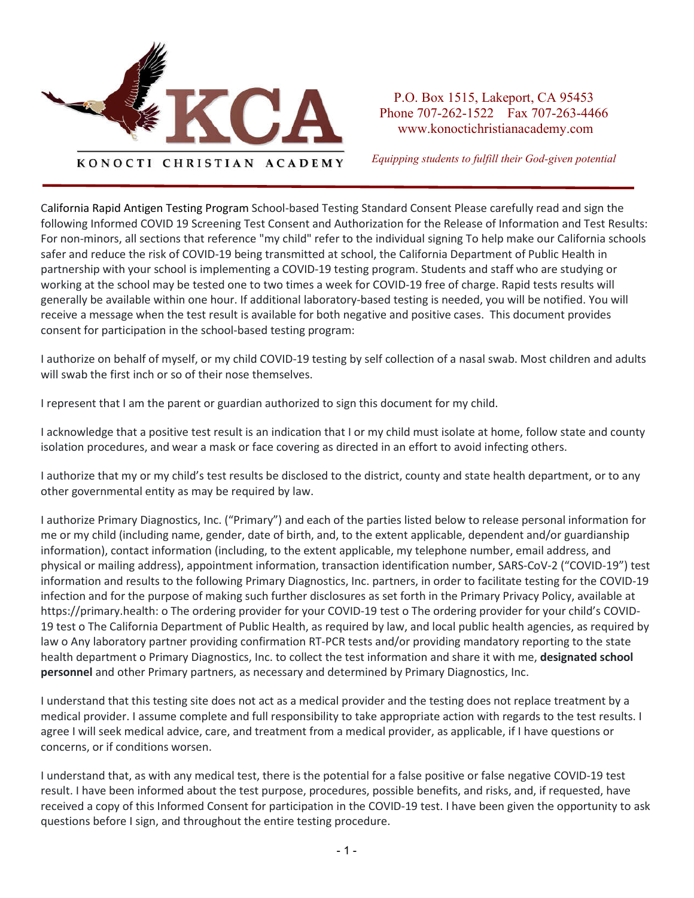

P.O. Box 1515, Lakeport, CA 95453 Phone 707-262-1522 Fax 707-263-4466 www.konoctichristianacademy.com

*Equipping students to fulfill their God-given potential*

California Rapid Antigen Testing Program School-based Testing Standard Consent Please carefully read and sign the following Informed COVID 19 Screening Test Consent and Authorization for the Release of Information and Test Results: For non-minors, all sections that reference "my child" refer to the individual signing To help make our California schools safer and reduce the risk of COVID-19 being transmitted at school, the California Department of Public Health in partnership with your school is implementing a COVID-19 testing program. Students and staff who are studying or working at the school may be tested one to two times a week for COVID-19 free of charge. Rapid tests results will generally be available within one hour. If additional laboratory-based testing is needed, you will be notified. You will receive a message when the test result is available for both negative and positive cases. This document provides consent for participation in the school-based testing program:

I authorize on behalf of myself, or my child COVID-19 testing by self collection of a nasal swab. Most children and adults will swab the first inch or so of their nose themselves.

I represent that I am the parent or guardian authorized to sign this document for my child.

I acknowledge that a positive test result is an indication that I or my child must isolate at home, follow state and county isolation procedures, and wear a mask or face covering as directed in an effort to avoid infecting others.

I authorize that my or my child's test results be disclosed to the district, county and state health department, or to any other governmental entity as may be required by law.

I authorize Primary Diagnostics, Inc. ("Primary") and each of the parties listed below to release personal information for me or my child (including name, gender, date of birth, and, to the extent applicable, dependent and/or guardianship information), contact information (including, to the extent applicable, my telephone number, email address, and physical or mailing address), appointment information, transaction identification number, SARS-CoV-2 ("COVID-19") test information and results to the following Primary Diagnostics, Inc. partners, in order to facilitate testing for the COVID-19 infection and for the purpose of making such further disclosures as set forth in the Primary Privacy Policy, available at https://primary.health: o The ordering provider for your COVID-19 test o The ordering provider for your child's COVID-19 test o The California Department of Public Health, as required by law, and local public health agencies, as required by law o Any laboratory partner providing confirmation RT-PCR tests and/or providing mandatory reporting to the state health department o Primary Diagnostics, Inc. to collect the test information and share it with me, **designated school personnel** and other Primary partners, as necessary and determined by Primary Diagnostics, Inc.

I understand that this testing site does not act as a medical provider and the testing does not replace treatment by a medical provider. I assume complete and full responsibility to take appropriate action with regards to the test results. I agree I will seek medical advice, care, and treatment from a medical provider, as applicable, if I have questions or concerns, or if conditions worsen.

I understand that, as with any medical test, there is the potential for a false positive or false negative COVID-19 test result. I have been informed about the test purpose, procedures, possible benefits, and risks, and, if requested, have received a copy of this Informed Consent for participation in the COVID-19 test. I have been given the opportunity to ask questions before I sign, and throughout the entire testing procedure.